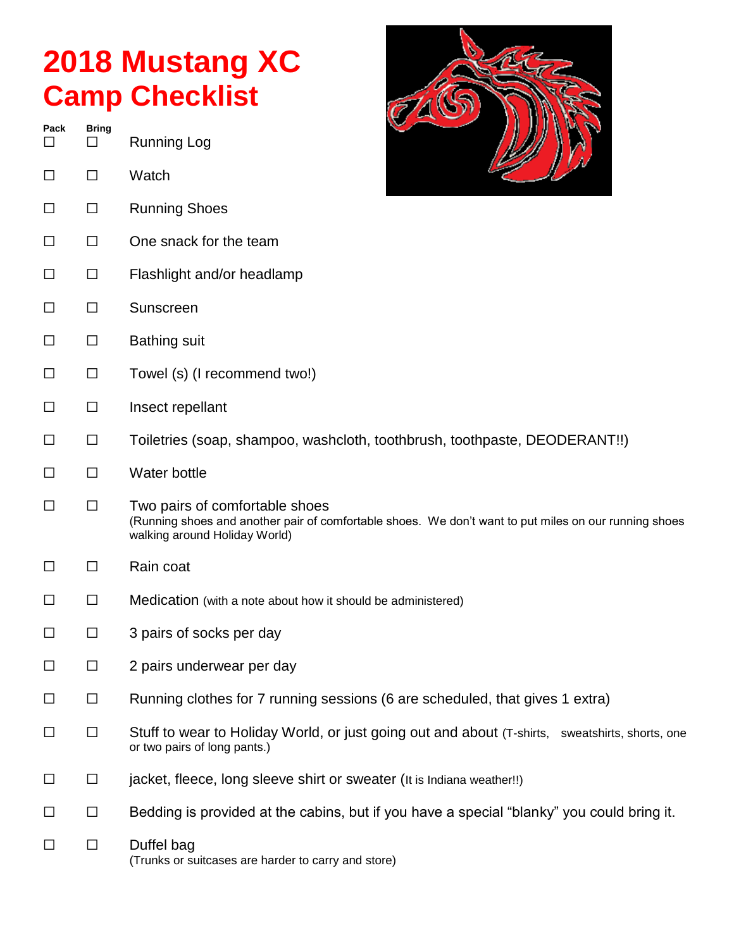## **2018 Mustang XC Camp Checklist**

**Pack Bring** ☐ ☐ Running Log ☐ ☐ Watch ☐ ☐ Running Shoes ☐ ☐ One snack for the team ☐ ☐ Flashlight and/or headlamp ☐ ☐ Sunscreen ☐ ☐ Bathing suit ☐ ☐ Towel (s) (I recommend two!) ☐ ☐ Insect repellant ☐ ☐ Toiletries (soap, shampoo, washcloth, toothbrush, toothpaste, DEODERANT!!) ☐ ☐ Water bottle ☐ ☐ Two pairs of comfortable shoes (Running shoes and another pair of comfortable shoes. We don't want to put miles on our running shoes walking around Holiday World) ☐ ☐ Rain coat ☐ ☐ Medication (with a note about how it should be administered) ☐ ☐ 3 pairs of socks per day ☐ ☐ 2 pairs underwear per day ☐ ☐ Running clothes for 7 running sessions (6 are scheduled, that gives 1 extra) ☐ ☐ Stuff to wear to Holiday World, or just going out and about (T-shirts, sweatshirts, shorts, one or two pairs of long pants.) ☐ ☐ jacket, fleece, long sleeve shirt or sweater (It is Indiana weather!!) ☐ ☐ Bedding is provided at the cabins, but if you have a special "blanky" you could bring it. ☐ ☐ Duffel bag (Trunks or suitcases are harder to carry and store)